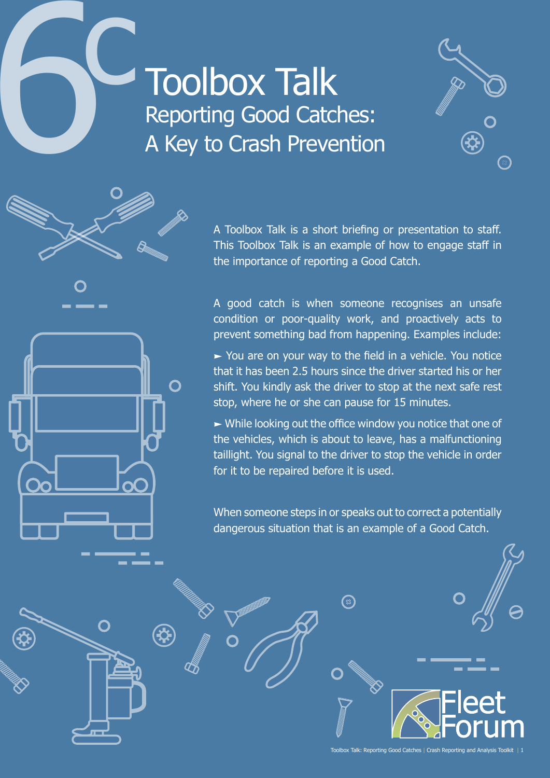# **1966**<br>Toolbox Talk<br>Reporting Good Catc<br>A Key to Crash Preve Reporting Good Catches: A Key to Crash Prevention

 $\bigcap$ 

∰





A good catch is when someone recognises an unsafe condition or poor-quality work, and proactively acts to prevent something bad from happening. Examples include:

► You are on your way to the field in a vehicle. You notice that it has been 2.5 hours since the driver started his or her shift. You kindly ask the driver to stop at the next safe rest stop, where he or she can pause for 15 minutes.

 $\triangleright$  While looking out the office window you notice that one of the vehicles, which is about to leave, has a malfunctioning taillight. You signal to the driver to stop the vehicle in order for it to be repaired before it is used.

When someone steps in or speaks out to correct a potentially dangerous situation that is an example of a Good Catch.

**(**2)

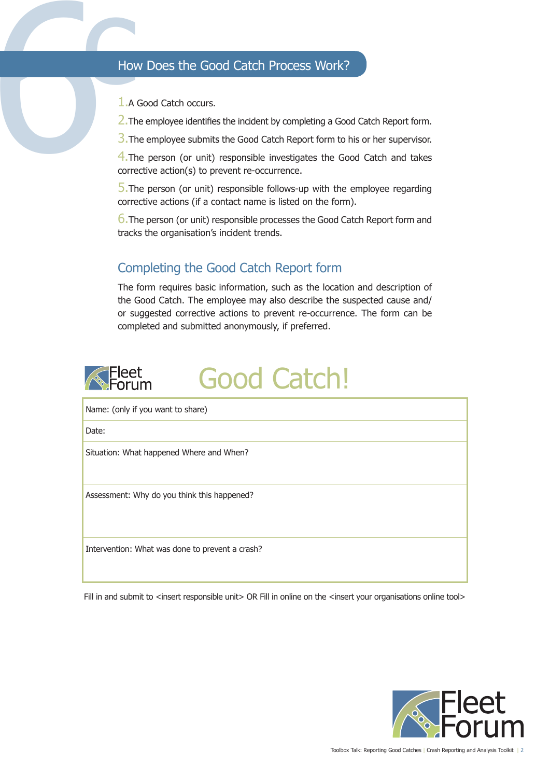### How Does the Good Catch Process Work?

1.A Good Catch occurs.

2. The employee identifies the incident by completing a Good Catch Report form.

3. The employee submits the Good Catch Report form to his or her supervisor.

How<br>
1.A<br>
2.Th<br>
3.Th<br>
4.Th<br>
corre 4. The person (or unit) responsible investigates the Good Catch and takes corrective action(s) to prevent re-occurrence.

 $\overline{5}$ . The person (or unit) responsible follows-up with the employee regarding corrective actions (if a contact name is listed on the form).

6.The person (or unit) responsible processes the Good Catch Report form and tracks the organisation's incident trends.

## Completing the Good Catch Report form

The form requires basic information, such as the location and description of the Good Catch. The employee may also describe the suspected cause and/ or suggested corrective actions to prevent re-occurrence. The form can be completed and submitted anonymously, if preferred.



Name: (only if you want to share) Date: Situation: What happened Where and When? Assessment: Why do you think this happened? Intervention: What was done to prevent a crash?

Fill in and submit to <insert responsible unit> OR Fill in online on the <insert your organisations online tool>